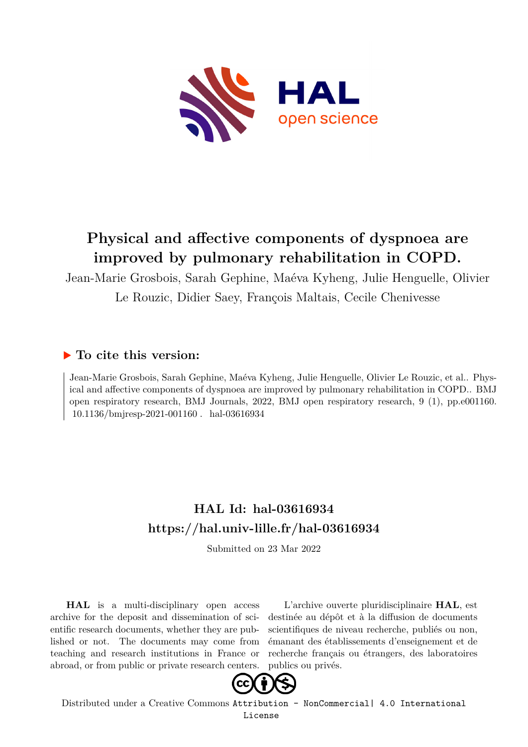

## **Physical and affective components of dyspnoea are improved by pulmonary rehabilitation in COPD.**

Jean-Marie Grosbois, Sarah Gephine, Maéva Kyheng, Julie Henguelle, Olivier Le Rouzic, Didier Saey, François Maltais, Cecile Chenivesse

### **To cite this version:**

Jean-Marie Grosbois, Sarah Gephine, Maéva Kyheng, Julie Henguelle, Olivier Le Rouzic, et al.. Physical and affective components of dyspnoea are improved by pulmonary rehabilitation in COPD.. BMJ open respiratory research, BMJ Journals, 2022, BMJ open respiratory research, 9 (1), pp.e001160. 10.1136/bmjresp-2021-001160. hal-03616934

## **HAL Id: hal-03616934 <https://hal.univ-lille.fr/hal-03616934>**

Submitted on 23 Mar 2022

**HAL** is a multi-disciplinary open access archive for the deposit and dissemination of scientific research documents, whether they are published or not. The documents may come from teaching and research institutions in France or abroad, or from public or private research centers.

L'archive ouverte pluridisciplinaire **HAL**, est destinée au dépôt et à la diffusion de documents scientifiques de niveau recherche, publiés ou non, émanant des établissements d'enseignement et de recherche français ou étrangers, des laboratoires publics ou privés.



Distributed under a Creative Commons [Attribution - NonCommercial| 4.0 International](http://creativecommons.org/licenses/by-nc/4.0/) [License](http://creativecommons.org/licenses/by-nc/4.0/)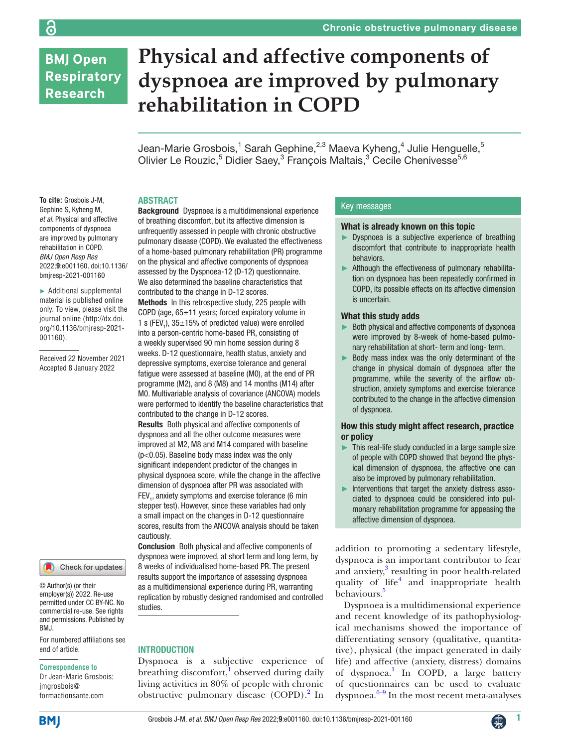## **BMJ Open Respiratory Research**

ခြ

# **Physical and affective components of dyspnoea are improved by pulmonary rehabilitation in COPD**

Jean-Marie Grosbois,<sup>1</sup> Sarah Gephine,<sup>2,3</sup> Maeva Kyheng,<sup>4</sup> Julie Henguelle,<sup>5</sup> Olivier Le Rouzic,<sup>5</sup> Didier Saey,<sup>3</sup> François Maltais,<sup>3</sup> Cecile Chenivesse<sup>5,6</sup>

#### ABSTRACT

**To cite:** Grosbois J-M, Gephine S, Kyheng M, *et al*. Physical and affective components of dyspnoea are improved by pulmonary rehabilitation in COPD. *BMJ Open Resp Res* 2022;**9**:e001160. doi:10.1136/ bmjresp-2021-001160

► Additional supplemental material is published online only. To view, please visit the journal online ([http://dx.doi.](http://dx.doi.org/10.1136/bmjresp-2021-001160) [org/10.1136/bmjresp-2021-](http://dx.doi.org/10.1136/bmjresp-2021-001160) [001160](http://dx.doi.org/10.1136/bmjresp-2021-001160)).

Received 22 November 2021 Accepted 8 January 2022



© Author(s) (or their employer(s)) 2022. Re-use permitted under CC BY-NC. No commercial re-use. See rights and permissions. Published by BMJ.

For numbered affiliations see end of article.

#### **Correspondence to**

Dr Jean-Marie Grosbois; jmgrosbois@ formactionsante.com

Background Dyspnoea is a multidimensional experience of breathing discomfort, but its affective dimension is unfrequently assessed in people with chronic obstructive pulmonary disease (COPD). We evaluated the effectiveness of a home-based pulmonary rehabilitation (PR) programme on the physical and affective components of dyspnoea assessed by the Dyspnoea-12 (D-12) questionnaire. We also determined the baseline characteristics that contributed to the change in D-12 scores. Methods In this retrospective study, 225 people with COPD (age, 65±11 years; forced expiratory volume in

1 s (FEV<sub>1</sub>),  $35\pm15\%$  of predicted value) were enrolled into a person-centric home-based PR, consisting of a weekly supervised 90 min home session during 8 weeks. D-12 questionnaire, health status, anxiety and depressive symptoms, exercise tolerance and general fatique were assessed at baseline (M0), at the end of PR programme (M2), and 8 (M8) and 14 months (M14) after M0. Multivariable analysis of covariance (ANCOVA) models were performed to identify the baseline characteristics that contributed to the change in D-12 scores.

Results Both physical and affective components of dyspnoea and all the other outcome measures were improved at M2, M8 and M14 compared with baseline (p<0.05). Baseline body mass index was the only significant independent predictor of the changes in physical dyspnoea score, while the change in the affective dimension of dyspnoea after PR was associated with  $FEV<sub>1</sub>$ , anxiety symptoms and exercise tolerance (6 min stepper test). However, since these variables had only a small impact on the changes in D-12 questionnaire scores, results from the ANCOVA analysis should be taken cautiously.

Conclusion Both physical and affective components of dyspnoea were improved, at short term and long term, by 8 weeks of individualised home-based PR. The present results support the importance of assessing dyspnoea as a multidimensional experience during PR, warranting replication by robustly designed randomised and controlled studies.

#### INTRODUCTION

Dyspnoea is a subjective experience of breathing discomfort,<sup>1</sup> observed during daily living activities in 80% of people with chronic obstructive pulmonary disease (COPD).<sup>2</sup> In

#### Key messages

#### What is already known on this topic

- Dyspnoea is a subjective experience of breathing discomfort that contribute to inappropriate health behaviors.
- ► Although the effectiveness of pulmonary rehabilitation on dyspnoea has been repeatedly confirmed in COPD, its possible effects on its affective dimension is uncertain.

#### What this study adds

- Both physical and affective components of dyspnoea were improved by 8-week of home-based pulmonary rehabilitation at short- term and long- term.
- ► Body mass index was the only determinant of the change in physical domain of dyspnoea after the programme, while the severity of the airflow obstruction, anxiety symptoms and exercise tolerance contributed to the change in the affective dimension of dyspnoea.

#### How this study might affect research, practice or policy

- This real-life study conducted in a large sample size of people with COPD showed that beyond the physical dimension of dyspnoea, the affective one can also be improved by pulmonary rehabilitation.
- ► Interventions that target the anxiety distress associated to dyspnoea could be considered into pulmonary rehabilitation programme for appeasing the affective dimension of dyspnoea.

addition to promoting a sedentary lifestyle, dyspnoea is an important contributor to fear and anxiety,<sup>3</sup> resulting in poor health-related quality of life<sup>4</sup> and inappropriate health behaviours.<sup>5</sup>

Dyspnoea is a multidimensional experience and recent knowledge of its pathophysiological mechanisms showed the importance of differentiating sensory (qualitative, quantitative), physical (the impact generated in daily life) and affective (anxiety, distress) domains of dyspnoea.<sup>1</sup> In COPD, a large battery of questionnaires can be used to evaluate  $\frac{6-9}{9}$  In the most recent meta-analyses

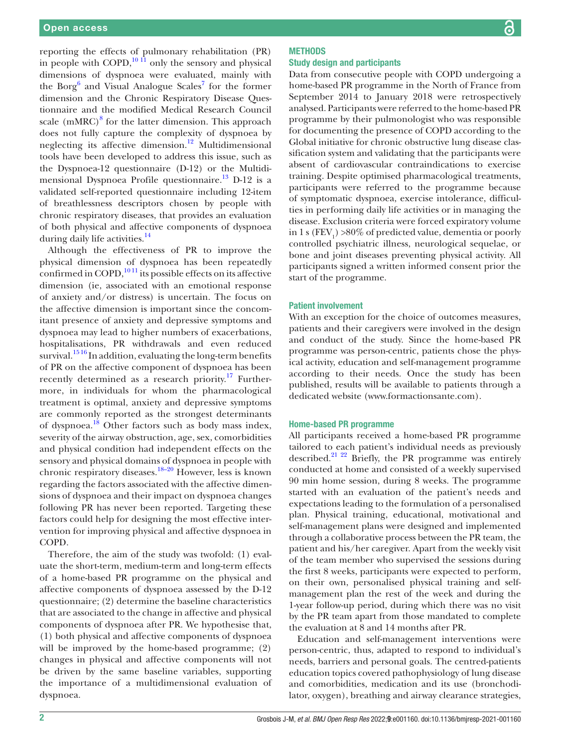reporting the effects of pulmonary rehabilitation (PR) in people with COPD, $^{10}$   $\overline{11}$  only the sensory and physical dimensions of dyspnoea were evaluated, mainly with the Borg<sup>6</sup> and Visual Analogue Scales<sup>7</sup> for the former dimension and the Chronic Respiratory Disease Questionnaire and the modified Medical Research Council scale  $(mMRC)^{8}$  for the latter dimension. This approach does not fully capture the complexity of dyspnoea by neglecting its affective dimension.<sup>12</sup> Multidimensional tools have been developed to address this issue, such as the Dyspnoea-12 questionnaire (D-12) or the Multidimensional Dyspnoea Profile questionnaire. $^{13}$  D-12 is a validated self-reported questionnaire including 12-item of breathlessness descriptors chosen by people with chronic respiratory diseases, that provides an evaluation of both physical and affective components of dyspnoea during daily life activities.<sup>14</sup>

Although the effectiveness of PR to improve the physical dimension of dyspnoea has been repeatedly confirmed in COPD, $^{1011}$  its possible effects on its affective dimension (ie, associated with an emotional response of anxiety and/or distress) is uncertain. The focus on the affective dimension is important since the concomitant presence of anxiety and depressive symptoms and dyspnoea may lead to higher numbers of exacerbations, hospitalisations, PR withdrawals and even reduced survival.<sup>1516</sup> In addition, evaluating the long-term benefits of PR on the affective component of dyspnoea has been recently determined as a research priority.<sup>17</sup> Furthermore, in individuals for whom the pharmacological treatment is optimal, anxiety and depressive symptoms are commonly reported as the strongest determinants of dyspnoea.18 Other factors such as body mass index, severity of the airway obstruction, age, sex, comorbidities and physical condition had independent effects on the sensory and physical domains of dyspnoea in people with chronic respiratory diseases.18–20 However, less is known regarding the factors associated with the affective dimensions of dyspnoea and their impact on dyspnoea changes following PR has never been reported. Targeting these factors could help for designing the most effective intervention for improving physical and affective dyspnoea in COPD.

Therefore, the aim of the study was twofold: (1) evaluate the short-term, medium-term and long-term effects of a home-based PR programme on the physical and affective components of dyspnoea assessed by the D-12 questionnaire; (2) determine the baseline characteristics that are associated to the change in affective and physical components of dyspnoea after PR. We hypothesise that, (1) both physical and affective components of dyspnoea will be improved by the home-based programme;  $(2)$ changes in physical and affective components will not be driven by the same baseline variables, supporting the importance of a multidimensional evaluation of dyspnoea.

#### **METHODS** Study design and participants

Data from consecutive people with COPD undergoing a home-based PR programme in the North of France from September 2014 to January 2018 were retrospectively analysed. Participants were referred to the home-based PR programme by their pulmonologist who was responsible for documenting the presence of COPD according to the Global initiative for chronic obstructive lung disease classification system and validating that the participants were absent of cardiovascular contraindications to exercise training. Despite optimised pharmacological treatments, participants were referred to the programme because of symptomatic dyspnoea, exercise intolerance, difficulties in performing daily life activities or in managing the disease. Exclusion criteria were forced expiratory volume in 1 s ( $\text{FEV}_1$ ) >80% of predicted value, dementia or poorly controlled psychiatric illness, neurological sequelae, or bone and joint diseases preventing physical activity. All participants signed a written informed consent prior the start of the programme.

#### Patient involvement

With an exception for the choice of outcomes measures, patients and their caregivers were involved in the design and conduct of the study. Since the home-based PR programme was person-centric, patients chose the physical activity, education and self-management programme according to their needs. Once the study has been published, results will be available to patients through a dedicated website (<www.formactionsante.com>).

#### Home-based PR programme

All participants received a home-based PR programme tailored to each patient's individual needs as previously described.<sup>21 22</sup> Briefly, the PR programme was entirely conducted at home and consisted of a weekly supervised 90 min home session, during 8 weeks. The programme started with an evaluation of the patient's needs and expectations leading to the formulation of a personalised plan. Physical training, educational, motivational and self-management plans were designed and implemented through a collaborative process between the PR team, the patient and his/her caregiver. Apart from the weekly visit of the team member who supervised the sessions during the first 8 weeks, participants were expected to perform, on their own, personalised physical training and selfmanagement plan the rest of the week and during the 1-year follow-up period, during which there was no visit by the PR team apart from those mandated to complete the evaluation at 8 and 14 months after PR.

Education and self-management interventions were person-centric, thus, adapted to respond to individual's needs, barriers and personal goals. The centred-patients education topics covered pathophysiology of lung disease and comorbidities, medication and its use (bronchodilator, oxygen), breathing and airway clearance strategies,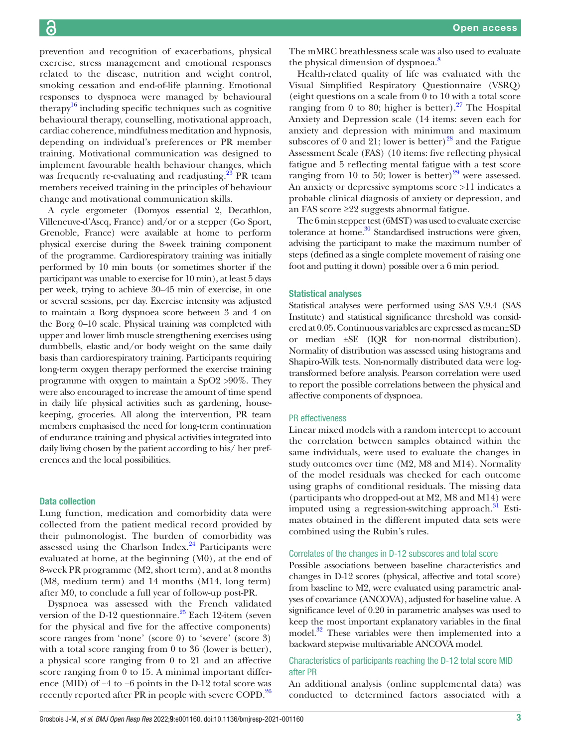prevention and recognition of exacerbations, physical exercise, stress management and emotional responses related to the disease, nutrition and weight control, smoking cessation and end-of-life planning. Emotional responses to dyspnoea were managed by behavioural therapy<sup>16</sup> including specific techniques such as cognitive behavioural therapy, counselling, motivational approach, cardiac coherence, mindfulness meditation and hypnosis, depending on individual's preferences or PR member training. Motivational communication was designed to implement favourable health behaviour changes, which was frequently re-evaluating and readjusting.<sup>23</sup> PR team members received training in the principles of behaviour change and motivational communication skills.

A cycle ergometer (Domyos essential 2, Decathlon, Villeneuve-d'Ascq, France) and/or or a stepper (Go Sport, Grenoble, France) were available at home to perform physical exercise during the 8-week training component of the programme. Cardiorespiratory training was initially performed by 10 min bouts (or sometimes shorter if the participant was unable to exercise for 10 min), at least 5 days per week, trying to achieve 30–45 min of exercise, in one or several sessions, per day. Exercise intensity was adjusted to maintain a Borg dyspnoea score between 3 and 4 on the Borg 0–10 scale. Physical training was completed with upper and lower limb muscle strengthening exercises using dumbbells, elastic and/or body weight on the same daily basis than cardiorespiratory training. Participants requiring long-term oxygen therapy performed the exercise training programme with oxygen to maintain a SpO2 >90%. They were also encouraged to increase the amount of time spend in daily life physical activities such as gardening, housekeeping, groceries. All along the intervention, PR team members emphasised the need for long-term continuation of endurance training and physical activities integrated into daily living chosen by the patient according to his/ her preferences and the local possibilities.

#### Data collection

Lung function, medication and comorbidity data were collected from the patient medical record provided by their pulmonologist. The burden of comorbidity was assessed using the Charlson Index. $24$  Participants were evaluated at home, at the beginning (M0), at the end of 8-week PR programme (M2, short term), and at 8 months (M8, medium term) and 14 months (M14, long term) after M0, to conclude a full year of follow-up post-PR.

Dyspnoea was assessed with the French validated version of the D-12 questionnaire. $^{25}$  Each 12-item (seven for the physical and five for the affective components) score ranges from 'none' (score 0) to 'severe' (score 3) with a total score ranging from 0 to 36 (lower is better), a physical score ranging from 0 to 21 and an affective score ranging from 0 to 15. A minimal important difference (MID) of −4 to −6 points in the D-12 total score was recently reported after PR in people with severe COPD.<sup>26</sup> The mMRC breathlessness scale was also used to evaluate the physical dimension of dyspnoea.<sup>8</sup>

Health-related quality of life was evaluated with the Visual Simplified Respiratory Questionnaire (VSRQ) (eight questions on a scale from 0 to 10 with a total score ranging from 0 to 80; higher is better). $27$  The Hospital Anxiety and Depression scale (14 items: seven each for anxiety and depression with minimum and maximum subscores of 0 and 21; lower is better)<sup>28</sup> and the Fatigue Assessment Scale (FAS) (10 items: five reflecting physical fatigue and 5 reflecting mental fatigue with a test score ranging from 10 to 50; lower is better) $29$  were assessed. An anxiety or depressive symptoms score >11 indicates a probable clinical diagnosis of anxiety or depression, and an FAS score ≥22 suggests abnormal fatigue.

The 6 min stepper test (6MST) was used to evaluate exercise tolerance at home. $30$  Standardised instructions were given, advising the participant to make the maximum number of steps (defined as a single complete movement of raising one foot and putting it down) possible over a 6 min period.

#### Statistical analyses

Statistical analyses were performed using SAS V.9.4 (SAS Institute) and statistical significance threshold was considered at 0.05. Continuous variables are expressed as mean±SD or median ±SE (IQR for non-normal distribution). Normality of distribution was assessed using histograms and Shapiro-Wilk tests. Non-normally distributed data were logtransformed before analysis. Pearson correlation were used to report the possible correlations between the physical and affective components of dyspnoea.

#### PR effectiveness

Linear mixed models with a random intercept to account the correlation between samples obtained within the same individuals, were used to evaluate the changes in study outcomes over time (M2, M8 and M14). Normality of the model residuals was checked for each outcome using graphs of conditional residuals. The missing data (participants who dropped-out at M2, M8 and M14) were imputed using a regression-switching approach.<sup>31</sup> Estimates obtained in the different imputed data sets were combined using the Rubin's rules.

#### Correlates of the changes in D-12 subscores and total score

Possible associations between baseline characteristics and changes in D-12 scores (physical, affective and total score) from baseline to M2, were evaluated using parametric analyses of covariance (ANCOVA), adjusted for baseline value. A significance level of 0.20 in parametric analyses was used to keep the most important explanatory variables in the final model.<sup>32</sup> These variables were then implemented into a backward stepwise multivariable ANCOVA model.

#### Characteristics of participants reaching the D-12 total score MID after PR

An additional analysis [\(online supplemental data\)](https://dx.doi.org/10.1136/bmjresp-2021-001160) was conducted to determined factors associated with a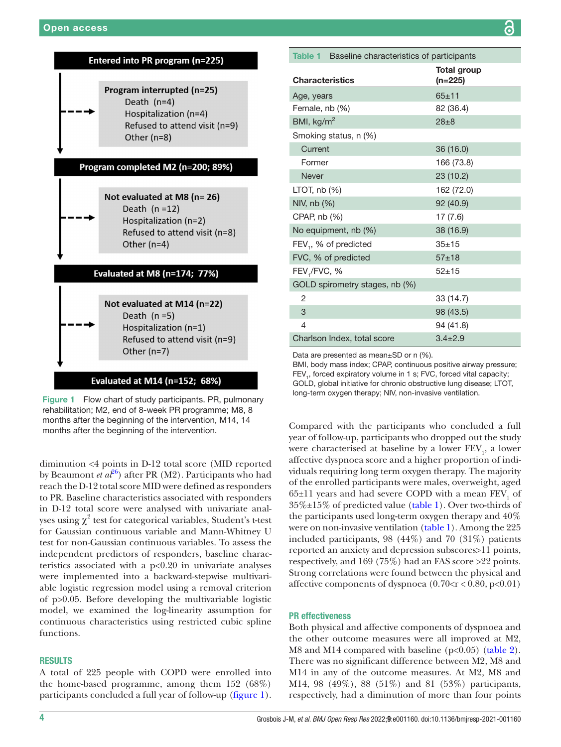

Figure 1 Flow chart of study participants. PR, pulmonary rehabilitation; M2, end of 8-week PR programme; M8, 8 months after the beginning of the intervention, M14, 14 months after the beginning of the intervention.

diminution <4 points in D-12 total score (MID reported by Beaumont *et al*<sup>26</sup>) after PR (M2). Participants who had reach the D-12 total score MID were defined as responders to PR. Baseline characteristics associated with responders in D-12 total score were analysed with univariate analyses using  $\chi^2$  test for categorical variables, Student's t-test for Gaussian continuous variable and Mann-Whitney U test for non-Gaussian continuous variables. To assess the independent predictors of responders, baseline characteristics associated with a p<0.20 in univariate analyses were implemented into a backward-stepwise multivariable logistic regression model using a removal criterion of p>0.05. Before developing the multivariable logistic model, we examined the log-linearity assumption for continuous characteristics using restricted cubic spline functions.

#### RESULTS

A total of 225 people with COPD were enrolled into the home-based programme, among them 152 (68%) participants concluded a full year of follow-up (figure 1).

| Table 1 Baseline characteristics of participants |                               |  |  |  |
|--------------------------------------------------|-------------------------------|--|--|--|
| <b>Characteristics</b>                           | <b>Total group</b><br>(n=225) |  |  |  |
| Age, years                                       | $65 + 11$                     |  |  |  |
| Female, nb (%)                                   | 82 (36.4)                     |  |  |  |
| BMI, $kg/m2$                                     | $28 + 8$                      |  |  |  |
| Smoking status, n (%)                            |                               |  |  |  |
| Current                                          | 36 (16.0)                     |  |  |  |
| Former                                           | 166 (73.8)                    |  |  |  |
| <b>Never</b>                                     | 23 (10.2)                     |  |  |  |
| LTOT, $nb(%)$                                    | 162 (72.0)                    |  |  |  |
| NIV, nb (%)                                      | 92 (40.9)                     |  |  |  |
| CPAP, $nb(%)$                                    | 17(7.6)                       |  |  |  |
| No equipment, nb (%)                             | 38 (16.9)                     |  |  |  |
| FEV <sub>1</sub> , % of predicted                | $35 + 15$                     |  |  |  |
| FVC, % of predicted                              | $57 + 18$                     |  |  |  |
| FEV <sub>1</sub> /FVC, %                         | $52 + 15$                     |  |  |  |
| GOLD spirometry stages, nb (%)                   |                               |  |  |  |
| 2                                                | 33 (14.7)                     |  |  |  |
| 3                                                | 98 (43.5)                     |  |  |  |
| 4                                                | 94 (41.8)                     |  |  |  |
| Charlson Index, total score                      | $3.4 \pm 2.9$                 |  |  |  |

Data are presented as mean±SD or n (%).

BMI, body mass index; CPAP, continuous positive airway pressure; FEV<sub>1</sub>, forced expiratory volume in 1 s; FVC, forced vital capacity; GOLD, global initiative for chronic obstructive lung disease; LTOT, long-term oxygen therapy; NIV, non-invasive ventilation.

Compared with the participants who concluded a full year of follow-up, participants who dropped out the study were characterised at baseline by a lower  $\operatorname{FEV}_1$ , a lower affective dyspnoea score and a higher proportion of individuals requiring long term oxygen therapy. The majority of the enrolled participants were males, overweight, aged  $65{\pm}11$  years and had severe COPD with a mean  $\text{FEV}_1$  of  $35\% \pm 15\%$  of predicted value (table 1). Over two-thirds of the participants used long-term oxygen therapy and 40% were on non-invasive ventilation (table 1). Among the 225 included participants, 98 (44%) and 70 (31%) patients reported an anxiety and depression subscores>11 points, respectively, and 169 (75%) had an FAS score >22 points. Strong correlations were found between the physical and affective components of dyspnoea  $(0.70 < r < 0.80, p < 0.01)$ 

#### PR effectiveness

Both physical and affective components of dyspnoea and the other outcome measures were all improved at M2, M8 and M14 compared with baseline (p<0.05) (table 2). There was no significant difference between M2, M8 and M14 in any of the outcome measures. At M2, M8 and M14, 98 (49%), 88 (51%) and 81 (53%) participants, respectively, had a diminution of more than four points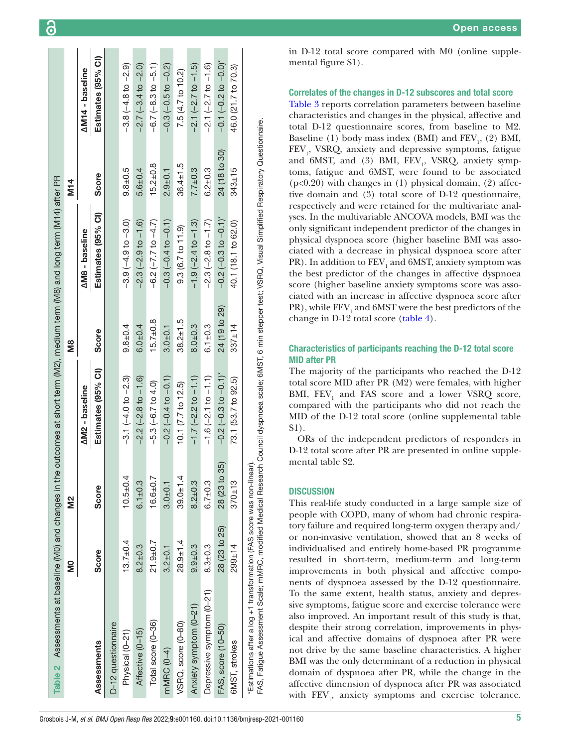| Assessments at baseline (M0) and changes in the<br>Table 2                                                                                                                                                                                   |                |               | outcomes at short term (M2), medium term (M8) and long term (M14) after PR |                |                               |                |                                 |
|----------------------------------------------------------------------------------------------------------------------------------------------------------------------------------------------------------------------------------------------|----------------|---------------|----------------------------------------------------------------------------|----------------|-------------------------------|----------------|---------------------------------|
|                                                                                                                                                                                                                                              | S              | 2<br>N        |                                                                            | Й8<br>М        |                               | <b>M</b> 14    |                                 |
|                                                                                                                                                                                                                                              |                |               | <b>AM2</b> - baseline                                                      |                | <b>AM8</b> - baseline         |                | <b>AM14 - baseline</b>          |
| Assessments                                                                                                                                                                                                                                  | Score          | Score         | Estimates (95% CI)                                                         | <b>Score</b>   | Estimates (95% CI)            | Score          | Estimates (95% CI)              |
| D-12 questionnaire                                                                                                                                                                                                                           |                |               |                                                                            |                |                               |                |                                 |
| Physical (0-21)                                                                                                                                                                                                                              | $13.7 \pm 0.4$ | $10.5 + 0.4$  | $-3.1(-4.0 to -2.3)$                                                       | $9.8 + 0.4$    | $-3.9(-4.9 to -3.0)$          | $9.8 + 0.5$    | $-3.8(-4.8 \text{ to } -2.9)$   |
| Affective (0-15)                                                                                                                                                                                                                             | $8.2 + 0.3$    | $6.1 + 0.3$   | $-2.2(-2.8$ to $-1.6)$                                                     | $6.0 + 0.4$    | $-2.3(-2.9$ to $-1.6)$        | $5.6 + 0.4$    | $-2.7(-3.4$ to $-2.0)$          |
| Total score (0-36)                                                                                                                                                                                                                           | $21.9 + 0.7$   | $16.6 + 0.7$  | $-5.3(-6.7 to 4.0)$                                                        | $15.7 \pm 0.8$ | $-6.2$ $(-7.7$ to $-4.7)$     | $15.2 + 0.8$   | $-6.7(-8.3 to -5.1)$            |
| mMRC (0-4)                                                                                                                                                                                                                                   | $3.2 + 0.1$    | $3.0 + 0.1$   | $-0.2(-0.4 to -0.1)$                                                       | $3.0 + 0.1$    | $-0.3(-0.4 to -0.1)$          | $2.9 + 0.1$    | $-0.3(-0.5 to -0.2)$            |
| VSRQ, score (0-80)                                                                                                                                                                                                                           | $28.9 + 1.4$   | $39.0 + 1.4$  | 10.1 (7.7 to 12.5)                                                         | $38.2 \pm 1.5$ | 9.3(6.7 to 11.9)              | $36.4 \pm 1.5$ | 7.5 (4.7 to 10.2)               |
| Anxiety symptom (0-21)                                                                                                                                                                                                                       | $9.9 + 0.3$    | $8.2 + 0.3$   | $-1.7(-2.2 \text{ to } -1.1)$                                              | $8.0 + 0.3$    | $-1.9(-2.4 \text{ to } -1.3)$ | $7.7 + 0.3$    | $-2.1(-2.7 \text{ to } -1.5)$   |
| Depressive symptom (0-21)                                                                                                                                                                                                                    | $8.3 + 0.3$    | $6.7 + 0.3$   | $-1.6(-2.1$ to $-1.1)$                                                     | $6.1 \pm 0.3$  | $-2.3(-2.8$ to $-1.7)$        | $6.2 + 0.3$    | $-2.1(-2.7 to -1.6)$            |
| FAS, score (10-50)                                                                                                                                                                                                                           | 28 (23 to 25)  | 28 (23 to 35) | $-0.2$ $(-0.3$ to $-0.1$ <sup>*</sup>                                      | 24 (19 to 29)  | $-0.2$ ( $-0.3$ to $-0.1$ )*  | 24 (18 to 30)  | $-0.1(-0.2 \text{ to } -0.0)^*$ |
| 6MST, strokes                                                                                                                                                                                                                                | $299 + 14$     | $370 \pm 13$  | 73.1 (53.7 to 92.5)                                                        | $337 \pm 14$   | 40.1 (18.1 to 62.0)           | $343 \pm 15$   | 46.0 (21.7 to 70.3)             |
| FAS, Fatigue Assessment Scale; mMRC, modified Medical Research Council dyspnoea scale; 6MST, 6 min stepper test; VSRQ, Visual Simplified Respiratory Questionnaire.<br>*Estimations after a log +1 transformation (FAS score was non-linear) |                |               |                                                                            |                |                               |                |                                 |

G

in D-12 total score compared with M0 ([online supple](https://dx.doi.org/10.1136/bmjresp-2021-001160)[mental figure S1\)](https://dx.doi.org/10.1136/bmjresp-2021-001160).

#### Correlates of the changes in D-12 subscores and total score

Table 3 reports correlation parameters between baseline characteristics and changes in the physical, affective and total D-12 questionnaire scores, from baseline to M2. Baseline (1) body mass index (BMI) and  $\text{FEV}_1$ , (2) BMI, FEV<sub>1</sub>, VSRQ, anxiety and depressive symptoms, fatigue and 6MST, and (3) BMI, FEV<sub>1</sub>, VSRQ, anxiety symptoms, fatigue and 6MST, were found to be associated  $(p<0.20)$  with changes in (1) physical domain, (2) affective domain and (3) total score of D-12 questionnaire, respectively and were retained for the multivariate analyses. In the multivariable ANCOVA models, BMI was the only significant independent predictor of the changes in physical dyspnoea score (higher baseline BMI was associated with a decrease in physical dyspnoea score after PR). In addition to  $\rm FEV_1$  and 6MST, anxiety symptom was the best predictor of the changes in affective dyspnoea score (higher baseline anxiety symptoms score was associated with an increase in affective dyspnoea score after  $\mathrm{PR})$  , while  $\mathrm{FEV}_1$  and  $\mathrm{6MST}$  were the best predictors of the change in D-12 total score (table 4).

#### Characteristics of participants reaching the D-12 total score MID after PR

The majority of the participants who reached the D-12 total score MID after PR (M2) were females, with higher BMI,  $FEV<sub>1</sub>$  and FAS score and a lower VSRQ score, compared with the participants who did not reach the MID of the D-12 total score ([online supplemental table](https://dx.doi.org/10.1136/bmjresp-2021-001160) [S1](https://dx.doi.org/10.1136/bmjresp-2021-001160)).

ORs of the independent predictors of responders in D-12 total score after PR are presented in [online supple](https://dx.doi.org/10.1136/bmjresp-2021-001160)[mental table S2](https://dx.doi.org/10.1136/bmjresp-2021-001160).

#### **DISCUSSION**

This real-life study conducted in a large sample size of people with COPD, many of whom had chronic respiratory failure and required long-term oxygen therapy and/ or non-invasive ventilation, showed that an 8 weeks of individualised and entirely home-based PR programme resulted in short-term, medium-term and long-term improvements in both physical and affective components of dyspnoea assessed by the D-12 questionnaire. To the same extent, health status, anxiety and depressive symptoms, fatigue score and exercise tolerance were also improved. An important result of this study is that, despite their strong correlation, improvements in physical and affective domains of dyspnoea after PR were not drive by the same baseline characteristics. A higher BMI was the only determinant of a reduction in physical domain of dyspnoea after PR, while the change in the affective dimension of dyspnoea after PR was associated with  $\text{FEV}_1$ , anxiety symptoms and exercise tolerance.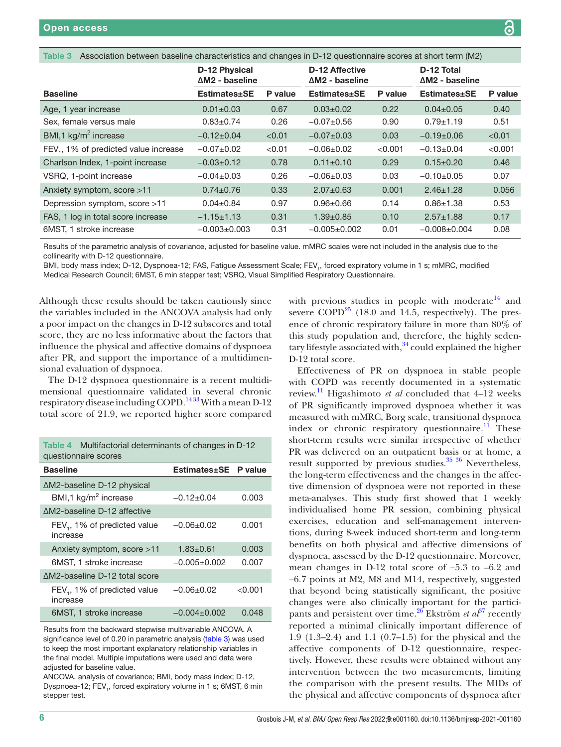| <b>IQNIC V</b><br>ASSOCIATION DELWEEN DASEMIE CHARGHSTEIS AND AND CHANGES IN D-12 QUESTIONITATE SCOPES AT SHORT (FITH (IVIZ) |                                                |         |                                          |         |                                      |         |
|------------------------------------------------------------------------------------------------------------------------------|------------------------------------------------|---------|------------------------------------------|---------|--------------------------------------|---------|
|                                                                                                                              | <b>D-12 Physical</b><br>$\Delta M2$ - baseline |         | D-12 Affective<br>$\Delta M2$ - baseline |         | D-12 Total<br>$\Delta M2$ - baseline |         |
| <b>Baseline</b>                                                                                                              | Estimates±SE                                   | P value | <b>Estimates</b> ±SE                     | P value | <b>Estimates</b> ±SE                 | P value |
| Age, 1 year increase                                                                                                         | $0.01 \pm 0.03$                                | 0.67    | $0.03 \pm 0.02$                          | 0.22    | $0.04 \pm 0.05$                      | 0.40    |
| Sex, female versus male                                                                                                      | $0.83 \pm 0.74$                                | 0.26    | $-0.07+0.56$                             | 0.90    | $0.79 \pm 1.19$                      | 0.51    |
| BMI,1 kg/m <sup>2</sup> increase                                                                                             | $-0.12\pm0.04$                                 | < 0.01  | $-0.07+0.03$                             | 0.03    | $-0.19+0.06$                         | < 0.01  |
| FEV <sub>1</sub> , 1% of predicted value increase                                                                            | $-0.07+0.02$                                   | < 0.01  | $-0.06 \pm 0.02$                         | < 0.001 | $-0.13 \pm 0.04$                     | < 0.001 |
| Charlson Index, 1-point increase                                                                                             | $-0.03 \pm 0.12$                               | 0.78    | $0.11 \pm 0.10$                          | 0.29    | $0.15 \pm 0.20$                      | 0.46    |
| VSRQ, 1-point increase                                                                                                       | $-0.04\pm0.03$                                 | 0.26    | $-0.06 \pm 0.03$                         | 0.03    | $-0.10+0.05$                         | 0.07    |
| Anxiety symptom, score >11                                                                                                   | $0.74 \pm 0.76$                                | 0.33    | $2.07 \pm 0.63$                          | 0.001   | $2.46 \pm 1.28$                      | 0.056   |
| Depression symptom, score $>11$                                                                                              | $0.04 \pm 0.84$                                | 0.97    | $0.96 \pm 0.66$                          | 0.14    | $0.86 + 1.38$                        | 0.53    |
| FAS, 1 log in total score increase                                                                                           | $-1.15 \pm 1.13$                               | 0.31    | $1.39 \pm 0.85$                          | 0.10    | $2.57 + 1.88$                        | 0.17    |
| 6MST, 1 stroke increase                                                                                                      | $-0.003 \pm 0.003$                             | 0.31    | $-0.005 \pm 0.002$                       | 0.01    | $-0.008 + 0.004$                     | 0.08    |

 $T$ association between baseline characteristics and changes in D-12 questionnaire scores

Results of the parametric analysis of covariance, adjusted for baseline value. mMRC scales were not included in the analysis due to the collinearity with D-12 questionnaire.

BMI, body mass index; D-12, Dyspnoea-12; FAS, Fatigue Assessment Scale; FEV<sub>1</sub>, forced expiratory volume in 1 s; mMRC, modified

Medical Research Council; 6MST, 6 min stepper test; VSRQ, Visual Simplified Respiratory Questionnaire.

Although these results should be taken cautiously since the variables included in the ANCOVA analysis had only a poor impact on the changes in D-12 subscores and total score, they are no less informative about the factors that influence the physical and affective domains of dyspnoea after PR, and support the importance of a multidimensional evaluation of dyspnoea.

The D-12 dyspnoea questionnaire is a recent multidimensional questionnaire validated in several chronic respiratory disease including COPD.<sup>1433</sup> With a mean D-12 total score of 21.9, we reported higher score compared

| Table 4 Multifactorial determinants of changes in D-12<br>questionnaire scores |                      |         |  |  |
|--------------------------------------------------------------------------------|----------------------|---------|--|--|
| <b>Baseline</b>                                                                | Estimates±SE P value |         |  |  |
| ∆M2-baseline D-12 physical                                                     |                      |         |  |  |
| BMI,1 kg/m <sup>2</sup> increase                                               | $-0.12\pm0.04$       | 0.003   |  |  |
| ΔM2-baseline D-12 affective                                                    |                      |         |  |  |
| FEV <sub>1</sub> , 1% of predicted value<br>increase                           | $-0.06 \pm 0.02$     | 0.001   |  |  |
| Anxiety symptom, score >11                                                     | $1.83 + 0.61$        | 0.003   |  |  |
| 6MST, 1 stroke increase                                                        | $-0.005+0.002$       | 0.007   |  |  |
| ΔM2-baseline D-12 total score                                                  |                      |         |  |  |
| FEV <sub>1</sub> , 1% of predicted value<br>increase                           | $-0.06{\pm}0.02$     | < 0.001 |  |  |
| 6MST, 1 stroke increase                                                        | $-0.004\pm0.002$     | 0.048   |  |  |

Results from the backward stepwise multivariable ANCOVA. A significance level of 0.20 in parametric analysis (table 3) was used to keep the most important explanatory relationship variables in the final model. Multiple imputations were used and data were adjusted for baseline value.

ANCOVA, analysis of covariance; BMI, body mass index; D-12, Dyspnoea-12; FEV<sub>1</sub>, forced expiratory volume in 1 s; 6MST, 6 min stepper test.

with previous studies in people with moderate  $14$  and severe  $\text{COPD}^{25}$  (18.0 and 14.5, respectively). The presence of chronic respiratory failure in more than 80% of this study population and, therefore, the highly sedentary lifestyle associated with, $34$  could explained the higher D-12 total score.

Effectiveness of PR on dyspnoea in stable people with COPD was recently documented in a systematic review.11 Higashimoto *et al* concluded that 4–12 weeks of PR significantly improved dyspnoea whether it was measured with mMRC, Borg scale, transitional dyspnoea index or chronic respiratory questionnaire.<sup>11</sup> These short-term results were similar irrespective of whether PR was delivered on an outpatient basis or at home, a result supported by previous studies.  $35\frac{36}{10}$  Nevertheless, the long-term effectiveness and the changes in the affective dimension of dyspnoea were not reported in these meta-analyses. This study first showed that 1 weekly individualised home PR session, combining physical exercises, education and self-management interventions, during 8-week induced short-term and long-term benefits on both physical and affective dimensions of dyspnoea, assessed by the D-12 questionnaire. Moreover, mean changes in D-12 total score of −5.3 to –6.2 and −6.7 points at M2, M8 and M14, respectively, suggested that beyond being statistically significant, the positive changes were also clinically important for the participants and persistent over time.<sup>26</sup> Ekström *et al*<sup>37</sup> recently reported a minimal clinically important difference of 1.9 (1.3–2.4) and 1.1 (0.7–1.5) for the physical and the affective components of D-12 questionnaire, respectively. However, these results were obtained without any intervention between the two measurements, limiting the comparison with the present results. The MIDs of the physical and affective components of dyspnoea after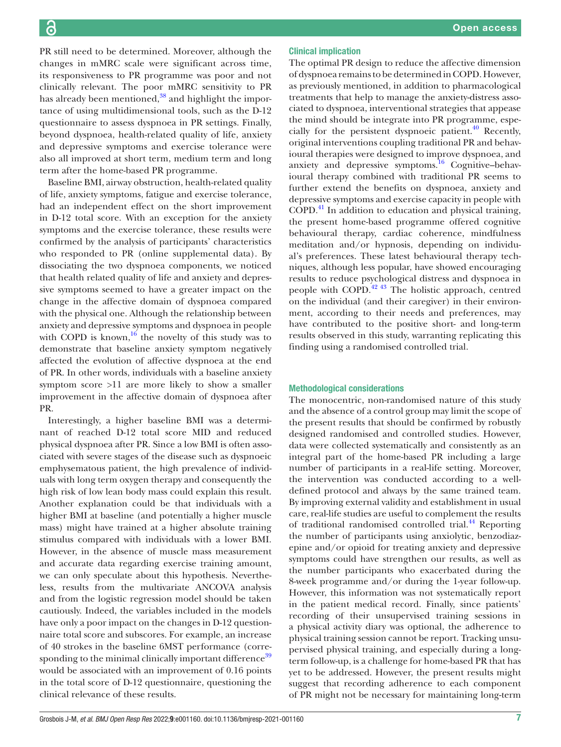PR still need to be determined. Moreover, although the changes in mMRC scale were significant across time, its responsiveness to PR programme was poor and not clinically relevant. The poor mMRC sensitivity to PR has already been mentioned,<sup>38</sup> and highlight the importance of using multidimensional tools, such as the D-12 questionnaire to assess dyspnoea in PR settings. Finally, beyond dyspnoea, health-related quality of life, anxiety and depressive symptoms and exercise tolerance were also all improved at short term, medium term and long term after the home-based PR programme.

Baseline BMI, airway obstruction, health-related quality of life, anxiety symptoms, fatigue and exercise tolerance, had an independent effect on the short improvement in D-12 total score. With an exception for the anxiety symptoms and the exercise tolerance, these results were confirmed by the analysis of participants' characteristics who responded to PR ([online supplemental data](https://dx.doi.org/10.1136/bmjresp-2021-001160)). By dissociating the two dyspnoea components, we noticed that health related quality of life and anxiety and depressive symptoms seemed to have a greater impact on the change in the affective domain of dyspnoea compared with the physical one. Although the relationship between anxiety and depressive symptoms and dyspnoea in people with COPD is known,  $16$  the novelty of this study was to demonstrate that baseline anxiety symptom negatively affected the evolution of affective dyspnoea at the end of PR. In other words, individuals with a baseline anxiety symptom score >11 are more likely to show a smaller improvement in the affective domain of dyspnoea after PR.

Interestingly, a higher baseline BMI was a determinant of reached D-12 total score MID and reduced physical dyspnoea after PR. Since a low BMI is often associated with severe stages of the disease such as dyspnoeic emphysematous patient, the high prevalence of individuals with long term oxygen therapy and consequently the high risk of low lean body mass could explain this result. Another explanation could be that individuals with a higher BMI at baseline (and potentially a higher muscle mass) might have trained at a higher absolute training stimulus compared with individuals with a lower BMI. However, in the absence of muscle mass measurement and accurate data regarding exercise training amount, we can only speculate about this hypothesis. Nevertheless, results from the multivariate ANCOVA analysis and from the logistic regression model should be taken cautiously. Indeed, the variables included in the models have only a poor impact on the changes in D-12 questionnaire total score and subscores. For example, an increase of 40 strokes in the baseline 6MST performance (corresponding to the minimal clinically important difference<sup>39</sup> would be associated with an improvement of 0.16 points in the total score of D-12 questionnaire, questioning the clinical relevance of these results.

#### Clinical implication

The optimal PR design to reduce the affective dimension of dyspnoea remains to be determined in COPD. However, as previously mentioned, in addition to pharmacological treatments that help to manage the anxiety-distress associated to dyspnoea, interventional strategies that appease the mind should be integrate into PR programme, especially for the persistent dyspnoeic patient. $40$  Recently, original interventions coupling traditional PR and behavioural therapies were designed to improve dyspnoea, and anxiety and depressive symptoms.<sup>16</sup> Cognitive–behavioural therapy combined with traditional PR seems to further extend the benefits on dyspnoea, anxiety and depressive symptoms and exercise capacity in people with COPD.41 In addition to education and physical training, the present home-based programme offered cognitive behavioural therapy, cardiac coherence, mindfulness meditation and/or hypnosis, depending on individual's preferences. These latest behavioural therapy techniques, although less popular, have showed encouraging results to reduce psychological distress and dyspnoea in people with COPD.42 43 The holistic approach, centred on the individual (and their caregiver) in their environment, according to their needs and preferences, may have contributed to the positive short- and long-term results observed in this study, warranting replicating this finding using a randomised controlled trial.

#### Methodological considerations

The monocentric, non-randomised nature of this study and the absence of a control group may limit the scope of the present results that should be confirmed by robustly designed randomised and controlled studies. However, data were collected systematically and consistently as an integral part of the home-based PR including a large number of participants in a real-life setting. Moreover, the intervention was conducted according to a welldefined protocol and always by the same trained team. By improving external validity and establishment in usual care, real-life studies are useful to complement the results of traditional randomised controlled trial.<sup>44</sup> Reporting the number of participants using anxiolytic, benzodiazepine and/or opioid for treating anxiety and depressive symptoms could have strengthen our results, as well as the number participants who exacerbated during the 8-week programme and/or during the 1-year follow-up. However, this information was not systematically report in the patient medical record. Finally, since patients' recording of their unsupervised training sessions in a physical activity diary was optional, the adherence to physical training session cannot be report. Tracking unsupervised physical training, and especially during a longterm follow-up, is a challenge for home-based PR that has yet to be addressed. However, the present results might suggest that recording adherence to each component of PR might not be necessary for maintaining long-term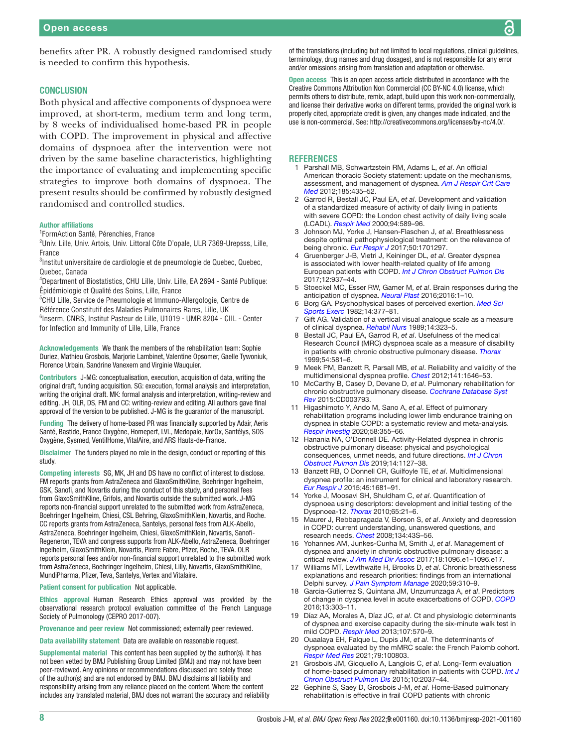benefits after PR. A robustly designed randomised study is needed to confirm this hypothesis.

#### **CONCLUSION**

Both physical and affective components of dyspnoea were improved, at short-term, medium term and long term, by 8 weeks of individualised home-based PR in people with COPD. The improvement in physical and affective domains of dyspnoea after the intervention were not driven by the same baseline characteristics, highlighting the importance of evaluating and implementing specific strategies to improve both domains of dyspnoea. The present results should be confirmed by robustly designed randomised and controlled studies.

#### Author affiliations

1 FormAction Santé, Pérenchies, France

<sup>2</sup>Univ. Lille, Univ. Artois, Univ. Littoral Côte D'opale, ULR 7369-Urepsss, Lille, France

<sup>3</sup>Institut universitaire de cardiologie et de pneumologie de Quebec, Quebec, Quebec, Canada

4 Department of Biostatistics, CHU Lille, Univ. Lille, EA 2694 - Santé Publique: Épidémiologie et Qualité des Soins, Lille, France

5 CHU Lille, Service de Pneumologie et Immuno-Allergologie, Centre de

Référence Constitutif des Maladies Pulmonaires Rares, Lille, UK

6 Inserm, CNRS, Institut Pasteur de Lille, U1019 - UMR 8204 - CIIL - Center for Infection and Immunity of Lille, Lille, France

Acknowledgements We thank the members of the rehabilitation team: Sophie Duriez, Mathieu Grosbois, Marjorie Lambinet, Valentine Opsomer, Gaelle Tywoniuk, Florence Urbain, Sandrine Vanexem and Virginie Wauquier.

Contributors J-MG: conceptualisation, execution, acquisition of data, writing the original draft, funding acquisition. SG: execution, formal analysis and interpretation, writing the original draft. MK: formal analysis and interpretation, writing-review and editing. JH, OLR, DS, FM and CC: writing-review and editing. All authors gave final approval of the version to be published. J-MG is the guarantor of the manuscript.

Funding The delivery of home-based PR was financially supported by Adair, Aeris Santé, Bastide, France Oxygène, Homeperf, LVL, Medopale, NorOx, Santélys, SOS Oxygène, Sysmed, VentilHome, VitalAire, and ARS Hauts-de-France.

Disclaimer The funders played no role in the design, conduct or reporting of this study.

Competing interests SG, MK, JH and DS have no conflict of interest to disclose. FM reports grants from AstraZeneca and GlaxoSmithKline, Boehringer Ingelheim, GSK, Sanofi, and Novartis during the conduct of this study, and personal fees from GlaxoSmithKline, Grifols, and Novartis outside the submitted work. J-MG reports non-financial support unrelated to the submitted work from AstraZeneca, Boehringer Ingelheim, Chiesi, CSL Behring, GlaxoSmithKlein, Novartis, and Roche. CC reports grants from AstraZeneca, Santelys, personal fees from ALK-Abello, AstraZeneca, Boehringer Ingelheim, Chiesi, GlaxoSmithKlein, Novartis, Sanofi-Regeneron, TEVA and congress supports from ALK-Abello, AstraZeneca, Boehringer Ingelheim, GlaxoSmithKlein, Novartis, Pierre Fabre, Pfizer, Roche, TEVA. OLR reports personal fees and/or non-financial support unrelated to the submitted work from AstraZeneca, Boehringer Ingelheim, Chiesi, Lilly, Novartis, GlaxoSmithKline, MundiPharma, Pfizer, Teva, Santelys, Vertex and Vitalaire.

#### Patient consent for publication Not applicable.

Ethics approval Human Research Ethics approval was provided by the observational research protocol evaluation committee of the French Language Society of Pulmonology (CEPRO 2017-007).

Provenance and peer review Not commissioned; externally peer reviewed.

Data availability statement Data are available on reasonable request.

Supplemental material This content has been supplied by the author(s). It has not been vetted by BMJ Publishing Group Limited (BMJ) and may not have been peer-reviewed. Any opinions or recommendations discussed are solely those of the author(s) and are not endorsed by BMJ. BMJ disclaims all liability and responsibility arising from any reliance placed on the content. Where the content includes any translated material, BMJ does not warrant the accuracy and reliability

of the translations (including but not limited to local regulations, clinical guidelines, terminology, drug names and drug dosages), and is not responsible for any error and/or omissions arising from translation and adaptation or otherwise.

Open access This is an open access article distributed in accordance with the Creative Commons Attribution Non Commercial (CC BY-NC 4.0) license, which permits others to distribute, remix, adapt, build upon this work non-commercially, and license their derivative works on different terms, provided the original work is properly cited, appropriate credit is given, any changes made indicated, and the use is non-commercial. See:<http://creativecommons.org/licenses/by-nc/4.0/>.

#### **REFERENCES**

- 1 Parshall MB, Schwartzstein RM, Adams L, *et al*. An official American thoracic Society statement: update on the mechanisms, assessment, and management of dyspnea. *[Am J Respir Crit Care](http://dx.doi.org/10.1164/rccm.201111-2042ST)  [Med](http://dx.doi.org/10.1164/rccm.201111-2042ST)* 2012;185:435–52.
- 2 Garrod R, Bestall JC, Paul EA, *et al*. Development and validation of a standardized measure of activity of daily living in patients with severe COPD: the London chest activity of daily living scale (LCADL). *[Respir Med](http://dx.doi.org/10.1053/rmed.2000.0786)* 2000;94:589–96.
- 3 Johnson MJ, Yorke J, Hansen-Flaschen J, *et al*. Breathlessness despite optimal pathophysiological treatment: on the relevance of being chronic. *[Eur Respir J](http://dx.doi.org/10.1183/13993003.01297-2017)* 2017;50:1701297.
- 4 Gruenberger J-B, Vietri J, Keininger DL, *et al*. Greater dyspnea is associated with lower health-related quality of life among European patients with COPD. *[Int J Chron Obstruct Pulmon Dis](http://dx.doi.org/10.2147/COPD.S123744)* 2017;12:937–44.
- 5 Stoeckel MC, Esser RW, Gamer M, *et al*. Brain responses during the anticipation of dyspnea. *[Neural Plast](http://dx.doi.org/10.1155/2016/6434987)* 2016;2016:1–10.
- 6 Borg GA. Psychophysical bases of perceived exertion. *[Med Sci](http://dx.doi.org/10.1249/00005768-198205000-00012)  [Sports Exerc](http://dx.doi.org/10.1249/00005768-198205000-00012)* 1982;14:377–81.
- 7 Gift AG. Validation of a vertical visual analogue scale as a measure of clinical dyspnea. *[Rehabil Nurs](http://dx.doi.org/10.1002/j.2048-7940.1989.tb01129.x)* 1989;14:323–5.
- 8 Bestall JC, Paul EA, Garrod R, *et al*. Usefulness of the medical Research Council (MRC) dyspnoea scale as a measure of disability in patients with chronic obstructive pulmonary disease. *[Thorax](http://dx.doi.org/10.1136/thx.54.7.581)* 1999;54:581–6.
- 9 Meek PM, Banzett R, Parsall MB, *et al*. Reliability and validity of the multidimensional dyspnea profile. *[Chest](http://dx.doi.org/10.1378/chest.11-1087)* 2012;141:1546–53.
- 10 McCarthy B, Casey D, Devane D, *et al*. Pulmonary rehabilitation for chronic obstructive pulmonary disease. *[Cochrane Database Syst](http://dx.doi.org/10.1002/14651858.CD003793.pub3)  [Rev](http://dx.doi.org/10.1002/14651858.CD003793.pub3)* 2015:CD003793.
- 11 Higashimoto Y, Ando M, Sano A, *et al*. Effect of pulmonary rehabilitation programs including lower limb endurance training on dyspnea in stable COPD: a systematic review and meta-analysis. *[Respir Investig](http://dx.doi.org/10.1016/j.resinv.2020.05.010)* 2020;58:355–66.
- 12 Hanania NA, O'Donnell DE. Activity-Related dyspnea in chronic obstructive pulmonary disease: physical and psychological consequences, unmet needs, and future directions. *[Int J Chron](http://dx.doi.org/10.2147/COPD.S188141)  [Obstruct Pulmon Dis](http://dx.doi.org/10.2147/COPD.S188141)* 2019;14:1127–38.
- 13 Banzett RB, O'Donnell CR, Guilfoyle TE, *et al*. Multidimensional dyspnea profile: an instrument for clinical and laboratory research. *[Eur Respir J](http://dx.doi.org/10.1183/09031936.00038914)* 2015;45:1681–91.
- 14 Yorke J, Moosavi SH, Shuldham C, *et al*. Quantification of dyspnoea using descriptors: development and initial testing of the Dyspnoea-12. *[Thorax](http://dx.doi.org/10.1136/thx.2009.118521)* 2010;65:21–6.
- 15 Maurer J, Rebbapragada V, Borson S, *et al*. Anxiety and depression in COPD: current understanding, unanswered questions, and research needs. *[Chest](http://dx.doi.org/10.1378/chest.08-0342)* 2008;134:43S–56.
- 16 Yohannes AM, Junkes-Cunha M, Smith J, *et al*. Management of dyspnea and anxiety in chronic obstructive pulmonary disease: a critical review. *[J Am Med Dir Assoc](http://dx.doi.org/10.1016/j.jamda.2017.09.007)* 2017;18:1096.e1–1096.e17.
- 17 Williams MT, Lewthwaite H, Brooks D, *et al*. Chronic breathlessness explanations and research priorities: findings from an international Delphi survey. *[J Pain Symptom Manage](http://dx.doi.org/10.1016/j.jpainsymman.2019.10.012)* 2020;59:310–9.
- 18 Garcia-Gutierrez S, Quintana JM, Unzurrunzaga A, *et al*. Predictors of change in dyspnea level in acute exacerbations of COPD. *[COPD](http://dx.doi.org/10.3109/15412555.2015.1078784)* 2016;13:303–11.
- 19 Díaz AA, Morales A, Díaz JC, *et al*. Ct and physiologic determinants of dyspnea and exercise capacity during the six-minute walk test in mild COPD. *[Respir Med](http://dx.doi.org/10.1016/j.rmed.2012.12.011)* 2013;107:570–9.
- 20 Ouaalaya EH, Falque L, Dupis JM, *et al*. The determinants of dyspnoea evaluated by the mMRC scale: the French Palomb cohort. *[Respir Med Res](http://dx.doi.org/10.1016/j.resmer.2020.100803)* 2021;79:100803.
- 21 Grosbois JM, Gicquello A, Langlois C, *et al*. Long-Term evaluation of home-based pulmonary rehabilitation in patients with COPD. *[Int J](http://dx.doi.org/10.2147/COPD.S90534)  [Chron Obstruct Pulmon Dis](http://dx.doi.org/10.2147/COPD.S90534)* 2015;10:2037–44.
- 22 Gephine S, Saey D, Grosbois J-M, *et al*. Home-Based pulmonary rehabilitation is effective in frail COPD patients with chronic